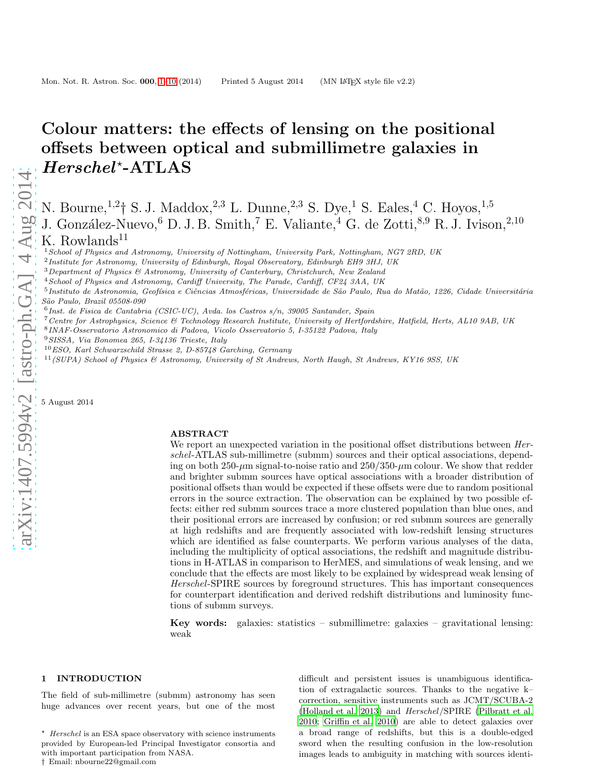# Colour matters: the effects of lensing on the positional offsets between optical and submillimetre galaxies in  $Herschel$ \*-ATLAS

N. Bourne,<sup>1,2</sup>† S. J. Maddox,<sup>2,3</sup> L. Dunne,<sup>2,3</sup> S. Dye,<sup>1</sup> S. Eales,<sup>4</sup> C. Hoyos,<sup>1,5</sup> J. González-Nuevo,<sup>6</sup> D. J. B. Smith,<sup>7</sup> E. Valiante,<sup>4</sup> G. de Zotti,<sup>8,9</sup> R. J. Ivison,<sup>2,10</sup> K. Rowlands<sup>11</sup>

<sup>1</sup> School of Physics and Astronomy, University of Nottingham, University Park, Nottingham, NG7 2RD, UK

- $3$ Department of Physics  $6$  Astronomy, University of Canterbury, Christchurch, New Zealand
- <sup>4</sup>School of Physics and Astronomy, Cardiff University, The Parade, Cardiff, CF24 3AA, UK
- $^5$ Instituto de Astronomia, Geofísica e Ciências Atmosféricas, Universidade de São Paulo, Rua do Matão, 1226, Cidade Universitária São Paulo, Brazil 05508-090
- 6 Inst. de Fisica de Cantabria (CSIC-UC), Avda. los Castros s/n, 39005 Santander, Spain
- <sup>7</sup>Centre for Astrophysics, Science & Technology Research Institute, University of Hertfordshire, Hatfield, Herts, AL10 9AB, UK
- 8 INAF-Osservatorio Astronomico di Padova, Vicolo Osservatorio 5, I-35122 Padova, Italy

<sup>9</sup>SISSA, Via Bonomea 265, I-34136 Trieste, Italy

- $10$  ESO, Karl Schwarzschild Strasse 2, D-85748 Garching, Germany
- <sup>11</sup>(SUPA) School of Physics & Astronomy, University of St Andrews, North Haugh, St Andrews, KY16 9SS, UK

5 August 2014

#### ABSTRACT

We report an unexpected variation in the positional offset distributions between *Her*schel-ATLAS sub-millimetre (submm) sources and their optical associations, depending on both  $250-\mu m$  signal-to-noise ratio and  $250/350-\mu m$  colour. We show that redder and brighter submm sources have optical associations with a broader distribution of positional offsets than would be expected if these offsets were due to random positional errors in the source extraction. The observation can be explained by two possible effects: either red submm sources trace a more clustered population than blue ones, and their positional errors are increased by confusion; or red submm sources are generally at high redshifts and are frequently associated with low-redshift lensing structures which are identified as false counterparts. We perform various analyses of the data, including the multiplicity of optical associations, the redshift and magnitude distributions in H-ATLAS in comparison to HerMES, and simulations of weak lensing, and we conclude that the effects are most likely to be explained by widespread weak lensing of Herschel-SPIRE sources by foreground structures. This has important consequences for counterpart identification and derived redshift distributions and luminosity functions of submm surveys.

**Key words:** galaxies: statistics – submillimetre: galaxies – gravitational lensing: weak

## <span id="page-0-0"></span>1 INTRODUCTION

The field of sub-millimetre (submm) astronomy has seen huge advances over recent years, but one of the most difficult and persistent issues is unambiguous identification of extragalactic sources. Thanks to the negative k– correction, sensitive instruments such as JCMT/SCUBA-2 [\(Holland et al. 2013](#page-8-0)) and Herschel/SPIRE [\(Pilbratt et al.](#page-9-0) [2010](#page-9-0); [Griffin et al. 2010](#page-8-1)) are able to detect galaxies over a broad range of redshifts, but this is a double-edged sword when the resulting confusion in the low-resolution images leads to ambiguity in matching with sources identi-

<sup>&</sup>lt;sup>2</sup> Institute for Astronomy, University of Edinburgh, Royal Observatory, Edinburgh EH9 3HJ, UK

 $^\star$   $\emph{Herschel}$  is an ESA space observatory with science instruments provided by European-led Principal Investigator consortia and with important participation from NASA. † Email: nbourne22@gmail.com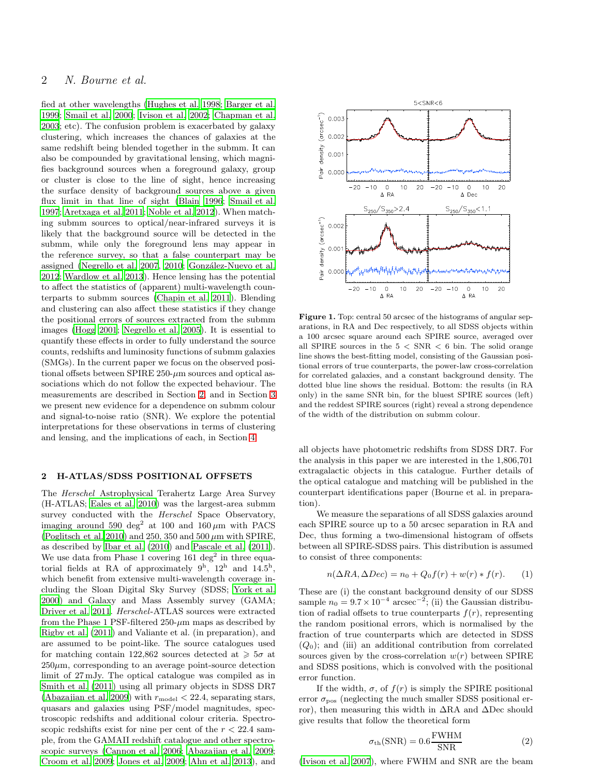# 2 N. Bourne et al.

fied at other wavelengths [\(Hughes et al. 1998;](#page-8-2) [Barger et al.](#page-8-3) [1999](#page-8-3); [Smail et al. 2000](#page-9-1); [Ivison et al. 2002](#page-8-4); [Chapman et al.](#page-8-5) [2003](#page-8-5); etc). The confusion problem is exacerbated by galaxy clustering, which increases the chances of galaxies at the same redshift being blended together in the submm. It can also be compounded by gravitational lensing, which magnifies background sources when a foreground galaxy, group or cluster is close to the line of sight, hence increasing the surface density of background sources above a given flux limit in that line of sight [\(Blain 1996](#page-8-6); [Smail et al.](#page-9-2) [1997](#page-9-2); [Aretxaga et al. 2011](#page-8-7); [Noble et al. 2012\)](#page-9-3). When matching submm sources to optical/near-infrared surveys it is likely that the background source will be detected in the submm, while only the foreground lens may appear in the reference survey, so that a false counterpart may be assigned [\(Negrello et al. 2007,](#page-9-4) [2010](#page-9-5); González-Nuevo et al. [2012](#page-8-8); [Wardlow et al. 2013](#page-9-6)). Hence lensing has the potential to affect the statistics of (apparent) multi-wavelength counterparts to submm sources [\(Chapin et al. 2011](#page-8-9)). Blending and clustering can also affect these statistics if they change the positional errors of sources extracted from the submm images [\(Hogg 2001;](#page-8-10) [Negrello et al. 2005\)](#page-9-7). It is essential to quantify these effects in order to fully understand the source counts, redshifts and luminosity functions of submm galaxies (SMGs). In the current paper we focus on the observed positional offsets between SPIRE  $250-\mu m$  sources and optical associations which do not follow the expected behaviour. The measurements are described in Section [2,](#page-1-0) and in Section [3](#page-2-0) we present new evidence for a dependence on submm colour and signal-to-noise ratio (SNR). We explore the potential interpretations for these observations in terms of clustering and lensing, and the implications of each, in Section [4.](#page-3-0)

## <span id="page-1-0"></span>2 H-ATLAS/SDSS POSITIONAL OFFSETS

The Herschel Astrophysical Terahertz Large Area Survey (H-ATLAS; [Eales et al. 2010](#page-8-11)) was the largest-area submm survey conducted with the *Herschel* Space Observatory, imaging around 590 deg<sup>2</sup> at 100 and 160  $\mu$ m with PACS [\(Poglitsch et al. 2010](#page-9-8)) and 250, 350 and 500  $\mu$ m with SPIRE, as described by [Ibar et al. \(2010](#page-8-12)) and [Pascale et al. \(2011](#page-9-9)). We use data from Phase 1 covering  $161 \text{ deg}^2$  in three equatorial fields at RA of approximately  $9^{\rm h}$ ,  $12^{\rm h}$  and  $14.5^{\rm h}$ , which benefit from extensive multi-wavelength coverage including the Sloan Digital Sky Survey (SDSS; [York et al.](#page-9-10) [2000](#page-9-10)) and Galaxy and Mass Assembly survey (GAMA; [Driver et al. 2011.](#page-8-13) Herschel-ATLAS sources were extracted from the Phase 1 PSF-filtered  $250-\mu m$  maps as described by [Rigby et al. \(2011](#page-9-11)) and Valiante et al. (in preparation), and are assumed to be point-like. The source catalogues used for matching contain 122,862 sources detected at  $\geq 5\sigma$  at  $250\mu$ m, corresponding to an average point-source detection limit of 27 mJy. The optical catalogue was compiled as in [Smith et al. \(2011\)](#page-9-12) using all primary objects in SDSS DR7 [\(Abazajian et al. 2009](#page-7-0)) with  $r_{\text{model}} < 22.4$ , separating stars, quasars and galaxies using PSF/model magnitudes, spectroscopic redshifts and additional colour criteria. Spectroscopic redshifts exist for nine per cent of the  $r < 22.4$  sample, from the GAMAII redshift catalogue and other spectroscopic surveys [\(Cannon et al. 2006;](#page-8-14) [Abazajian et al. 2009;](#page-7-0) [Croom et al. 2009;](#page-8-15) [Jones et al. 2009](#page-9-13); [Ahn et al. 2013\)](#page-8-16), and



<span id="page-1-2"></span>Figure 1. Top: central 50 arcsec of the histograms of angular separations, in RA and Dec respectively, to all SDSS objects within a 100 arcsec square around each SPIRE source, averaged over all SPIRE sources in the  $5 < SNR < 6$  bin. The solid orange line shows the best-fitting model, consisting of the Gaussian positional errors of true counterparts, the power-law cross-correlation for correlated galaxies, and a constant background density. The dotted blue line shows the residual. Bottom: the results (in RA only) in the same SNR bin, for the bluest SPIRE sources (left) and the reddest SPIRE sources (right) reveal a strong dependence of the width of the distribution on submm colour.

all objects have photometric redshifts from SDSS DR7. For the analysis in this paper we are interested in the 1,806,701 extragalactic objects in this catalogue. Further details of the optical catalogue and matching will be published in the counterpart identifications paper (Bourne et al. in preparation).

We measure the separations of all SDSS galaxies around each SPIRE source up to a 50 arcsec separation in RA and Dec, thus forming a two-dimensional histogram of offsets between all SPIRE-SDSS pairs. This distribution is assumed to consist of three components:

<span id="page-1-1"></span>
$$
n(\Delta RA, \Delta Dec) = n_0 + Q_0 f(r) + w(r) * f(r). \tag{1}
$$

These are (i) the constant background density of our SDSS sample  $n_0 = 9.7 \times 10^{-4}$  arcsec<sup>-2</sup>; (ii) the Gaussian distribution of radial offsets to true counterparts  $f(r)$ , representing the random positional errors, which is normalised by the fraction of true counterparts which are detected in SDSS  $(Q_0)$ ; and (iii) an additional contribution from correlated sources given by the cross-correlation  $w(r)$  between SPIRE and SDSS positions, which is convolved with the positional error function.

If the width,  $\sigma$ , of  $f(r)$  is simply the SPIRE positional error  $\sigma_{\text{pos}}$  (neglecting the much smaller SDSS positional error), then measuring this width in ∆RA and ∆Dec should give results that follow the theoretical form

<span id="page-1-3"></span>
$$
\sigma_{\rm th}(\text{SNR}) = 0.6 \frac{\text{FWHM}}{\text{SNR}} \tag{2}
$$

[\(Ivison et al. 2007](#page-9-14)), where FWHM and SNR are the beam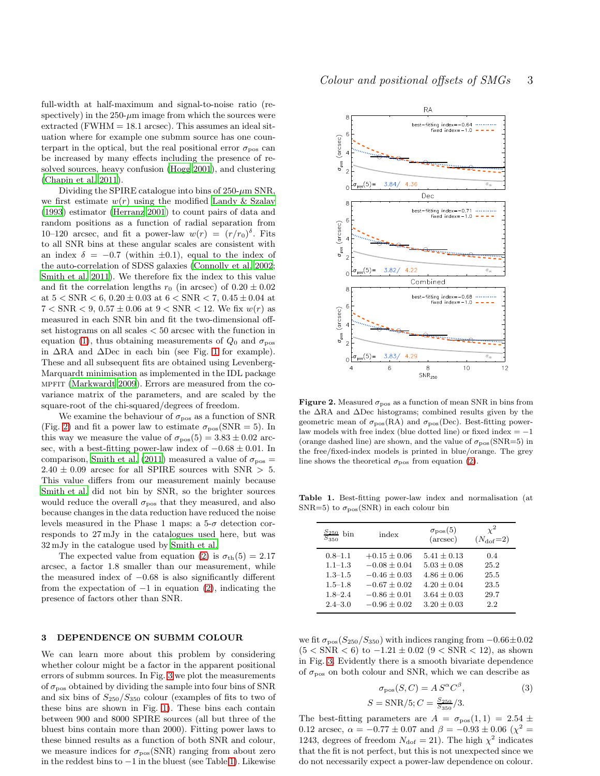full-width at half-maximum and signal-to-noise ratio (respectively) in the  $250-\mu m$  image from which the sources were extracted (FWHM  $= 18.1$  arcsec). This assumes an ideal situation where for example one submm source has one counterpart in the optical, but the real positional error  $\sigma_{\text{pos}}$  can be increased by many effects including the presence of resolved sources, heavy confusion [\(Hogg 2001\)](#page-8-10), and clustering [\(Chapin et al. 2011\)](#page-8-9).

Dividing the SPIRE catalogue into bins of  $250-\mu m$  SNR, we first estimate  $w(r)$  using the modified [Landy & Szalay](#page-9-15) [\(1993](#page-9-15)) estimator [\(Herranz 2001\)](#page-8-17) to count pairs of data and random positions as a function of radial separation from 10–120 arcsec, and fit a power-law  $w(r) = (r/r_0)^{\delta}$ . Fits to all SNR bins at these angular scales are consistent with an index  $\delta = -0.7$  (within  $\pm 0.1$ ), equal to the index of the auto-correlation of SDSS galaxies [\(Connolly et al. 2002;](#page-8-18) [Smith et al. 2011](#page-9-12)). We therefore fix the index to this value and fit the correlation lengths  $r_0$  (in arcsec) of  $0.20 \pm 0.02$ at  $5 < SNR < 6$ ,  $0.20 \pm 0.03$  at  $6 < SNR < 7$ ,  $0.45 \pm 0.04$  at  $7 < SNR < 9, 0.57 \pm 0.06$  at  $9 < SNR < 12$ . We fix  $w(r)$  as measured in each SNR bin and fit the two-dimensional offset histograms on all scales < 50 arcsec with the function in equation [\(1\)](#page-1-1), thus obtaining measurements of  $Q_0$  and  $\sigma_{\text{pos}}$ in  $\Delta$ RA and  $\Delta$ Dec in each bin (see Fig. [1](#page-1-2) for example). These and all subsequent fits are obtained using Levenberg-Marquardt minimisation as implemented in the IDL package mpfit [\(Markwardt 2009](#page-9-16)). Errors are measured from the covariance matrix of the parameters, and are scaled by the square-root of the chi-squared/degrees of freedom.

We examine the behaviour of  $\sigma_{\text{pos}}$  as a function of SNR (Fig. [2\)](#page-2-1) and fit a power law to estimate  $\sigma_{\text{pos}}(\text{SNR} = 5)$ . In this way we measure the value of  $\sigma_{\text{pos}}(5) = 3.83 \pm 0.02$  arcsec, with a best-fitting power-law index of  $-0.68 \pm 0.01$ . In comparison, [Smith et al. \(2011\)](#page-9-12) measured a value of  $\sigma_{\text{pos}} =$  $2.40 \pm 0.09$  arcsec for all SPIRE sources with SNR  $> 5$ . This value differs from our measurement mainly because [Smith et al.](#page-9-12) did not bin by SNR, so the brighter sources would reduce the overall  $\sigma_{\text{pos}}$  that they measured, and also because changes in the data reduction have reduced the noise levels measured in the Phase 1 maps: a  $5-\sigma$  detection corresponds to 27 mJy in the catalogues used here, but was 32 mJy in the catalogue used by [Smith et al.](#page-9-12)

The expected value from equation [\(2\)](#page-1-3) is  $\sigma_{\text{th}}(5) = 2.17$ arcsec, a factor 1.8 smaller than our measurement, while the measured index of −0.68 is also significantly different from the expectation of  $-1$  in equation [\(2\)](#page-1-3), indicating the presence of factors other than SNR.

#### <span id="page-2-0"></span>3 DEPENDENCE ON SUBMM COLOUR

We can learn more about this problem by considering whether colour might be a factor in the apparent positional errors of submm sources. In Fig. [3](#page-3-1) we plot the measurements of  $\sigma_\text{pos}$  obtained by dividing the sample into four bins of SNR and six bins of  $S_{250}/S_{350}$  colour (examples of fits to two of these bins are shown in Fig. [1\)](#page-1-2). These bins each contain between 900 and 8000 SPIRE sources (all but three of the bluest bins contain more than 2000). Fitting power laws to these binned results as a function of both SNR and colour, we measure indices for  $\sigma_{\text{pos}}(\text{SNR})$  ranging from about zero in the reddest bins to −1 in the bluest (see Table [1\)](#page-2-2). Likewise



<span id="page-2-1"></span>Figure 2. Measured  $\sigma_{\text{pos}}$  as a function of mean SNR in bins from the ∆RA and ∆Dec histograms; combined results given by the geometric mean of  $\sigma_{\text{pos}}(RA)$  and  $\sigma_{\text{pos}}(Dec)$ . Best-fitting powerlaw models with free index (blue dotted line) or fixed index  $= -1$ (orange dashed line) are shown, and the value of  $\sigma_{\text{pos}}(\text{SNR}=5)$  in the free/fixed-index models is printed in blue/orange. The grey line shows the theoretical  $\sigma_{\text{pos}}$  from equation [\(2\)](#page-1-3).

Table 1. Best-fitting power-law index and normalisation (at SNR=5) to  $\sigma_{\text{pos}}(\text{SNR})$  in each colour bin

<span id="page-2-2"></span>

| $\frac{S_{250}}{S_{350}}$ bin | index            | $\sigma_{\text{pos}}(5)$<br>$(\text{arcsec})$ | $\chi^2$<br>$(N_{\rm dof}=2)$ |
|-------------------------------|------------------|-----------------------------------------------|-------------------------------|
| $0.8 - 1.1$                   | $+0.15 \pm 0.06$ | $5.41 + 0.13$                                 | 0.4                           |
| $1.1 - 1.3$                   | $-0.08 + 0.04$   | $5.03 + 0.08$                                 | 25.2                          |
| $1.3 - 1.5$                   | $-0.46 \pm 0.03$ | $4.86 \pm 0.06$                               | 25.5                          |
| $1.5 - 1.8$                   | $-0.67 \pm 0.02$ | $4.20 + 0.04$                                 | 23.5                          |
| $1.8 - 2.4$                   | $-0.86 + 0.01$   | $3.64 + 0.03$                                 | 29.7                          |

we fit  $\sigma_{\text{pos}}(S_{250}/S_{350})$  with indices ranging from  $-0.66\pm0.02$  $(5 < SNR < 6)$  to  $-1.21 \pm 0.02$   $(9 < SNR < 12)$ , as shown in Fig. [3.](#page-3-1) Evidently there is a smooth bivariate dependence of  $\sigma_{\text{pos}}$  on both colour and SNR, which we can describe as

<span id="page-2-3"></span>
$$
\sigma_{\text{pos}}(S, C) = A S^{\alpha} C^{\beta},\tag{3}
$$

$$
S = \text{SNR}/5; C = \frac{S_{250}}{S_{350}}/3.
$$

The best-fitting parameters are  $A = \sigma_{\text{pos}}(1, 1) = 2.54 \pm$ 0.12 arcsec,  $\alpha = -0.77 \pm 0.07$  and  $\beta = -0.93 \pm 0.06$  ( $\chi^2$  = 1243, degrees of freedom  $N_{\text{dof}} = 21$ ). The high  $\chi^2$  indicates that the fit is not perfect, but this is not unexpected since we do not necessarily expect a power-law dependence on colour.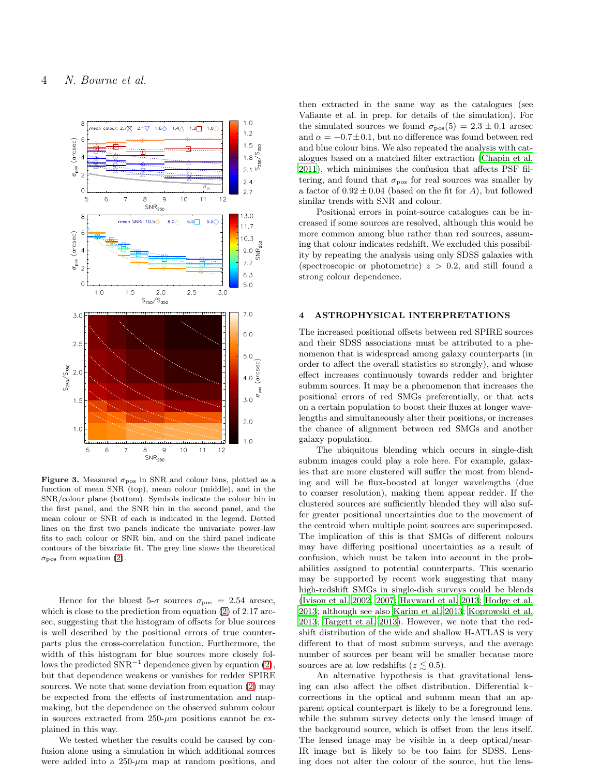![](_page_3_Figure_1.jpeg)

<span id="page-3-1"></span>Figure 3. Measured  $\sigma_{\text{pos}}$  in SNR and colour bins, plotted as a function of mean SNR (top), mean colour (middle), and in the SNR/colour plane (bottom). Symbols indicate the colour bin in the first panel, and the SNR bin in the second panel, and the mean colour or SNR of each is indicated in the legend. Dotted lines on the first two panels indicate the univariate power-law fits to each colour or SNR bin, and on the third panel indicate contours of the bivariate fit. The grey line shows the theoretical  $\sigma_{\text{pos}}$  from equation [\(2\)](#page-1-3).

Hence for the bluest 5- $\sigma$  sources  $\sigma_{\text{pos}} = 2.54$  arcsec, which is close to the prediction from equation [\(2\)](#page-1-3) of 2.17 arcsec, suggesting that the histogram of offsets for blue sources is well described by the positional errors of true counterparts plus the cross-correlation function. Furthermore, the width of this histogram for blue sources more closely follows the predicted  $\text{SNR}^{-1}$  dependence given by equation [\(2\)](#page-1-3), but that dependence weakens or vanishes for redder SPIRE sources. We note that some deviation from equation [\(2\)](#page-1-3) may be expected from the effects of instrumentation and mapmaking, but the dependence on the observed submm colour in sources extracted from  $250-\mu m$  positions cannot be explained in this way.

We tested whether the results could be caused by confusion alone using a simulation in which additional sources were added into a  $250-\mu m$  map at random positions, and

then extracted in the same way as the catalogues (see Valiante et al. in prep. for details of the simulation). For the simulated sources we found  $\sigma_{\text{pos}}(5) = 2.3 \pm 0.1$  arcsec and  $\alpha = -0.7 \pm 0.1$ , but no difference was found between red and blue colour bins. We also repeated the analysis with catalogues based on a matched filter extraction [\(Chapin et al.](#page-8-9) [2011](#page-8-9)), which minimises the confusion that affects PSF filtering, and found that  $\sigma_{\text{pos}}$  for real sources was smaller by a factor of  $0.92 \pm 0.04$  (based on the fit for A), but followed similar trends with SNR and colour.

Positional errors in point-source catalogues can be increased if some sources are resolved, although this would be more common among blue rather than red sources, assuming that colour indicates redshift. We excluded this possibility by repeating the analysis using only SDSS galaxies with (spectroscopic or photometric)  $z > 0.2$ , and still found a strong colour dependence.

#### <span id="page-3-0"></span>4 ASTROPHYSICAL INTERPRETATIONS

The increased positional offsets between red SPIRE sources and their SDSS associations must be attributed to a phenomenon that is widespread among galaxy counterparts (in order to affect the overall statistics so strongly), and whose effect increases continuously towards redder and brighter submm sources. It may be a phenomenon that increases the positional errors of red SMGs preferentially, or that acts on a certain population to boost their fluxes at longer wavelengths and simultaneously alter their positions, or increases the chance of alignment between red SMGs and another galaxy population.

The ubiquitous blending which occurs in single-dish submm images could play a role here. For example, galaxies that are more clustered will suffer the most from blending and will be flux-boosted at longer wavelengths (due to coarser resolution), making them appear redder. If the clustered sources are sufficiently blended they will also suffer greater positional uncertainties due to the movement of the centroid when multiple point sources are superimposed. The implication of this is that SMGs of different colours may have differing positional uncertainties as a result of confusion, which must be taken into account in the probabilities assigned to potential counterparts. This scenario may be supported by recent work suggesting that many high-redshift SMGs in single-dish surveys could be blends [\(Ivison et al. 2002](#page-8-4), [2007](#page-9-14); [Hayward et al. 2013](#page-8-19); [Hodge et al.](#page-8-20) [2013](#page-8-20); although see also [Karim et al. 2013](#page-9-17); [Koprowski et al.](#page-9-18) [2013](#page-9-18); [Targett et al. 2013](#page-9-19)). However, we note that the redshift distribution of the wide and shallow H-ATLAS is very different to that of most submm surveys, and the average number of sources per beam will be smaller because more sources are at low redshifts ( $z \leq 0.5$ ).

An alternative hypothesis is that gravitational lensing can also affect the offset distribution. Differential k– corrections in the optical and submm mean that an apparent optical counterpart is likely to be a foreground lens, while the submm survey detects only the lensed image of the background source, which is offset from the lens itself. The lensed image may be visible in a deep optical/near-IR image but is likely to be too faint for SDSS. Lensing does not alter the colour of the source, but the lens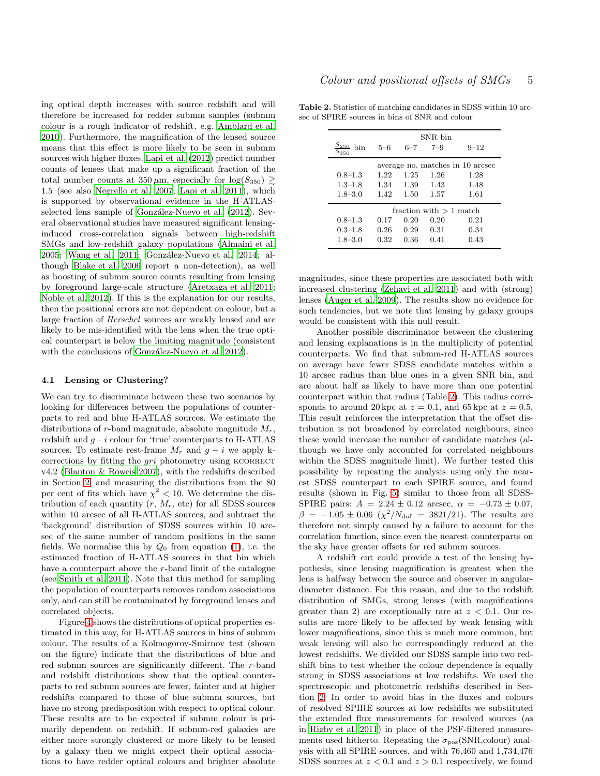ing optical depth increases with source redshift and will therefore be increased for redder submm samples (submm colour is a rough indicator of redshift, e.g. [Amblard et al.](#page-8-21) [2010](#page-8-21)). Furthermore, the magnification of the lensed source means that this effect is more likely to be seen in submm sources with higher fluxes. [Lapi et al. \(2012](#page-9-20)) predict number counts of lenses that make up a significant fraction of the total number counts at  $350 \mu m$ , especially for  $\log(S_{350}) \ge$ 1.5 (see also [Negrello et al. 2007](#page-9-4); [Lapi et al. 2011](#page-9-21)), which is supported by observational evidence in the H-ATLASselected lens sample of González-Nuevo et al. (2012). Several observational studies have measured significant lensinginduced cross-correlation signals between high-redshift SMGs and low-redshift galaxy populations [\(Almaini et al.](#page-8-22) [2005](#page-8-22); [Wang et al. 2011](#page-9-22); González-Nuevo et al. 2014; although [Blake et al. 2006](#page-8-24) report a non-detection), as well as boosting of submm source counts resulting from lensing by foreground large-scale structure [\(Aretxaga et al. 2011;](#page-8-7) [Noble et al. 2012](#page-9-3)). If this is the explanation for our results, then the positional errors are not dependent on colour, but a large fraction of Herschel sources are weakly lensed and are likely to be mis-identified with the lens when the true optical counterpart is below the limiting magnitude (consistent with the conclusions of González-Nuevo et al. 2012).

#### 4.1 Lensing or Clustering?

We can try to discriminate between these two scenarios by looking for differences between the populations of counterparts to red and blue H-ATLAS sources. We estimate the distributions of r-band magnitude, absolute magnitude  $M_r$ , redshift and g−i colour for 'true' counterparts to H-ATLAS sources. To estimate rest-frame  $M_r$  and  $g - i$  we apply kcorrections by fitting the  $gri$  photometry using KCORRECT v4.2 [\(Blanton & Roweis 2007\)](#page-8-25), with the redshifts described in Section [2,](#page-1-0) and measuring the distributions from the 80 per cent of fits which have  $\chi^2$  < 10. We determine the distribution of each quantity  $(r, M_r, \text{etc})$  for all SDSS sources within 10 arcsec of all H-ATLAS sources, and subtract the 'background' distribution of SDSS sources within 10 arcsec of the same number of random positions in the same fields. We normalise this by  $Q_0$  from equation [\(1\)](#page-1-1), i.e. the estimated fraction of H-ATLAS sources in that bin which have a counterpart above the r-band limit of the catalogue (see [Smith et al. 2011](#page-9-12)). Note that this method for sampling the population of counterparts removes random associations only, and can still be contaminated by foreground lenses and correlated objects.

Figure [4](#page-5-0) shows the distributions of optical properties estimated in this way, for H-ATLAS sources in bins of submm colour. The results of a Kolmogorov-Smirnov test (shown on the figure) indicate that the distributions of blue and red submm sources are significantly different. The r-band and redshift distributions show that the optical counterparts to red submm sources are fewer, fainter and at higher redshifts compared to those of blue submm sources, but have no strong predisposition with respect to optical colour. These results are to be expected if submm colour is primarily dependent on redshift. If submm-red galaxies are either more strongly clustered or more likely to be lensed by a galaxy then we might expect their optical associations to have redder optical colours and brighter absolute

Table 2. Statistics of matching candidates in SDSS within 10 arcsec of SPIRE sources in bins of SNR and colour

<span id="page-4-0"></span>

|                                  | SNR bin |         |         |          |  |
|----------------------------------|---------|---------|---------|----------|--|
| $S_{250}$<br>hin<br>$S_{350}$    | $5 - 6$ | $6 - 7$ | $7 - 9$ | $9 - 12$ |  |
| average no. matches in 10 arcsec |         |         |         |          |  |
| $0.8 - 1.3$                      | 1.22    | 1.25    | 1.26    | 1.28     |  |
| $1.3 - 1.8$                      | 1.34    | 1.39    | 1.43    | 1.48     |  |
| $1.8 - 3.0$                      | 1.42    | 1.50    | 1.57    | 1.61     |  |
| fraction with $>1$ match         |         |         |         |          |  |
| $0.8 - 1.3$                      | 0.17    | 0.20    | 0.20    | 0.21     |  |
| $0.3 - 1.8$                      | 0.26    | 0.29    | 0.31    | 0.34     |  |
| $1.8 - 3.0$                      | 0.32    | 0.36    | 0.41    | 0.43     |  |

magnitudes, since these properties are associated both with increased clustering [\(Zehavi et al. 2011](#page-9-23)) and with (strong) lenses [\(Auger et al. 2009](#page-8-26)). The results show no evidence for such tendencies, but we note that lensing by galaxy groups would be consistent with this null result.

Another possible discriminator between the clustering and lensing explanations is in the multiplicity of potential counterparts. We find that submm-red H-ATLAS sources on average have fewer SDSS candidate matches within a 10 arcsec radius than blue ones in a given SNR bin, and are about half as likely to have more than one potential counterpart within that radius (Table [2\)](#page-4-0). This radius corresponds to around 20 kpc at  $z = 0.1$ , and 65 kpc at  $z = 0.5$ . This result reinforces the interpretation that the offset distribution is not broadened by correlated neighbours, since these would increase the number of candidate matches (although we have only accounted for correlated neighbours within the SDSS magnitude limit). We further tested this possibility by repeating the analysis using only the nearest SDSS counterpart to each SPIRE source, and found results (shown in Fig. [5\)](#page-6-0) similar to those from all SDSS-SPIRE pairs:  $A = 2.24 \pm 0.12$  arcsec,  $\alpha = -0.73 \pm 0.07$ ,  $\beta = -1.05 \pm 0.06 \; (\chi^2/N_{\rm dof} = 3821/21)$ . The results are therefore not simply caused by a failure to account for the correlation function, since even the nearest counterparts on the sky have greater offsets for red submm sources.

A redshift cut could provide a test of the lensing hypothesis, since lensing magnification is greatest when the lens is halfway between the source and observer in angulardiameter distance. For this reason, and due to the redshift distribution of SMGs, strong lenses (with magnifications greater than 2) are exceptionally rare at  $z < 0.1$ . Our results are more likely to be affected by weak lensing with lower magnifications, since this is much more common, but weak lensing will also be correspondingly reduced at the lowest redshifts. We divided our SDSS sample into two redshift bins to test whether the colour dependence is equally strong in SDSS associations at low redshifts. We used the spectroscopic and photometric redshifts described in Section [2.](#page-1-0) In order to avoid bias in the fluxes and colours of resolved SPIRE sources at low redshifts we substituted the extended flux measurements for resolved sources (as in [Rigby et al. 2011\)](#page-9-11) in place of the PSF-filtered measurements used hitherto. Repeating the  $\sigma_{\text{pos}}(\text{SNR},\text{colour})$  analysis with all SPIRE sources, and with 76,460 and 1,734,476 SDSS sources at  $z < 0.1$  and  $z > 0.1$  respectively, we found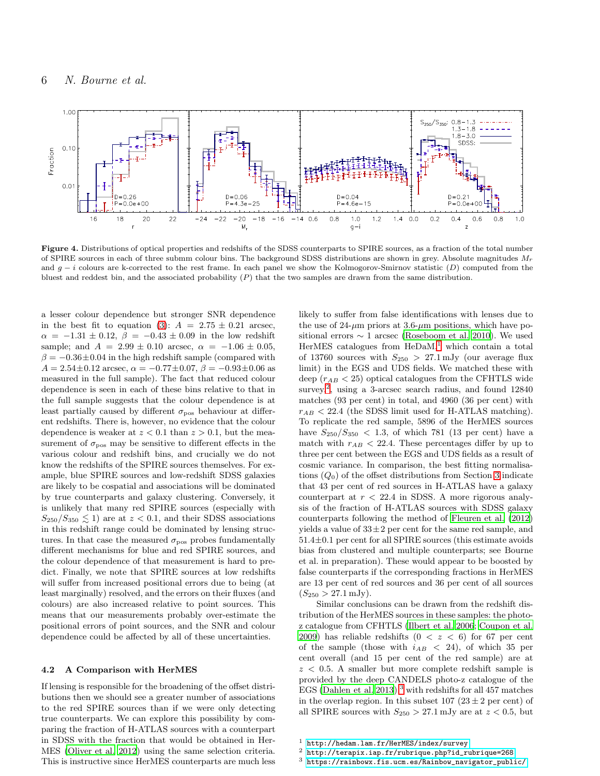![](_page_5_Figure_1.jpeg)

<span id="page-5-0"></span>Figure 4. Distributions of optical properties and redshifts of the SDSS counterparts to SPIRE sources, as a fraction of the total number of SPIRE sources in each of three submm colour bins. The background SDSS distributions are shown in grey. Absolute magnitudes  $M_r$ and  $g - i$  colours are k-corrected to the rest frame. In each panel we show the Kolmogorov-Smirnov statistic  $(D)$  computed from the bluest and reddest bin, and the associated probability  $(P)$  that the two samples are drawn from the same distribution.

a lesser colour dependence but stronger SNR dependence in the best fit to equation [\(3\)](#page-2-3):  $A = 2.75 \pm 0.21$  arcsec,  $\alpha = -1.31 \pm 0.12$ ,  $\beta = -0.43 \pm 0.09$  in the low redshift sample; and  $A = 2.99 \pm 0.10$  arcsec,  $\alpha = -1.06 \pm 0.05$ ,  $\beta = -0.36 \pm 0.04$  in the high redshift sample (compared with  $A = 2.54 \pm 0.12$  arcsec,  $\alpha = -0.77 \pm 0.07$ ,  $\beta = -0.93 \pm 0.06$  as measured in the full sample). The fact that reduced colour dependence is seen in each of these bins relative to that in the full sample suggests that the colour dependence is at least partially caused by different  $\sigma_{\text{pos}}$  behaviour at different redshifts. There is, however, no evidence that the colour dependence is weaker at  $z < 0.1$  than  $z > 0.1$ , but the measurement of  $\sigma_{\text{pos}}$  may be sensitive to different effects in the various colour and redshift bins, and crucially we do not know the redshifts of the SPIRE sources themselves. For example, blue SPIRE sources and low-redshift SDSS galaxies are likely to be cospatial and associations will be dominated by true counterparts and galaxy clustering. Conversely, it is unlikely that many red SPIRE sources (especially with  $S_{250}/S_{350} \leq 1$  are at  $z < 0.1$ , and their SDSS associations in this redshift range could be dominated by lensing structures. In that case the measured  $\sigma_{\text{pos}}$  probes fundamentally different mechanisms for blue and red SPIRE sources, and the colour dependence of that measurement is hard to predict. Finally, we note that SPIRE sources at low redshifts will suffer from increased positional errors due to being (at least marginally) resolved, and the errors on their fluxes (and colours) are also increased relative to point sources. This means that our measurements probably over-estimate the positional errors of point sources, and the SNR and colour dependence could be affected by all of these uncertainties.

#### 4.2 A Comparison with HerMES

If lensing is responsible for the broadening of the offset distributions then we should see a greater number of associations to the red SPIRE sources than if we were only detecting true counterparts. We can explore this possibility by comparing the fraction of H-ATLAS sources with a counterpart in SDSS with the fraction that would be obtained in Her-MES [\(Oliver et al. 2012](#page-9-24)) using the same selection criteria. This is instructive since HerMES counterparts are much less

likely to suffer from false identifications with lenses due to the use of  $24-\mu m$  priors at  $3.6-\mu m$  positions, which have positional errors  $\sim 1$  arcsec [\(Roseboom et al. 2010](#page-9-25)). We used HerMES catalogues from  $HeDaM$ ,<sup>[1](#page-5-1)</sup> which contain a total of 13760 sources with  $S_{250} > 27.1 \,\mathrm{mJy}$  (our average flux limit) in the EGS and UDS fields. We matched these with deep  $(r_{AB} < 25)$  optical catalogues from the CFHTLS wide survey,<sup>[2](#page-5-2)</sup>, using a 3-arcsec search radius, and found 12840 matches (93 per cent) in total, and 4960 (36 per cent) with  $r_{AB}$  < 22.4 (the SDSS limit used for H-ATLAS matching). To replicate the red sample, 5896 of the HerMES sources have  $S_{250}/S_{350} < 1.3$ , of which 781 (13 per cent) have a match with  $r_{AB}$  < 22.4. These percentages differ by up to three per cent between the EGS and UDS fields as a result of cosmic variance. In comparison, the best fitting normalisations  $(Q_0)$  of the offset distributions from Section [3](#page-2-0) indicate that 43 per cent of red sources in H-ATLAS have a galaxy counterpart at  $r < 22.4$  in SDSS. A more rigorous analysis of the fraction of H-ATLAS sources with SDSS galaxy counterparts following the method of [Fleuren et al. \(2012](#page-8-27)) yields a value of  $33\pm 2$  per cent for the same red sample, and 51.4±0.1 per cent for all SPIRE sources (this estimate avoids bias from clustered and multiple counterparts; see Bourne et al. in preparation). These would appear to be boosted by false counterparts if the corresponding fractions in HerMES are 13 per cent of red sources and 36 per cent of all sources  $(S_{250} > 27.1 \,\mathrm{mJy}).$ 

Similar conclusions can be drawn from the redshift distribution of the HerMES sources in these samples: the photoz catalogue from CFHTLS [\(Ilbert et al. 2006](#page-8-28); [Coupon et al.](#page-8-29) [2009](#page-8-29)) has reliable redshifts  $(0 \lt z \lt 6)$  for 67 per cent of the sample (those with  $i_{AB}$  < 24), of which 35 per cent overall (and 15 per cent of the red sample) are at  $z \, \langle\, 0.5. \rangle$  A smaller but more complete redshift sample is provided by the deep CANDELS photo-z catalogue of the EGS [\(Dahlen et al. 2013](#page-8-30)),<sup>[3](#page-5-3)</sup> with redshifts for all 457 matches in the overlap region. In this subset  $107 (23 \pm 2$  per cent) of all SPIRE sources with  $S_{250} > 27.1$  mJy are at  $z < 0.5$ , but

<span id="page-5-3"></span><span id="page-5-2"></span> $^3$ [https://rainbowx.fis.ucm.es/Rainbow\\_navigator\\_public/](https://rainbowx.fis.ucm.es/Rainbow_navigator_public/)

<sup>&</sup>lt;sup>1</sup> <http://hedam.lam.fr/HerMES/index/survey><br><sup>2</sup> http://terapix.jap.fr/rubrique.php?id.r

<span id="page-5-1"></span><sup>2</sup> [http://terapix.iap.fr/rubrique.php?id\\_rubrique=268](http://terapix.iap.fr/rubrique.php?id_rubrique=268)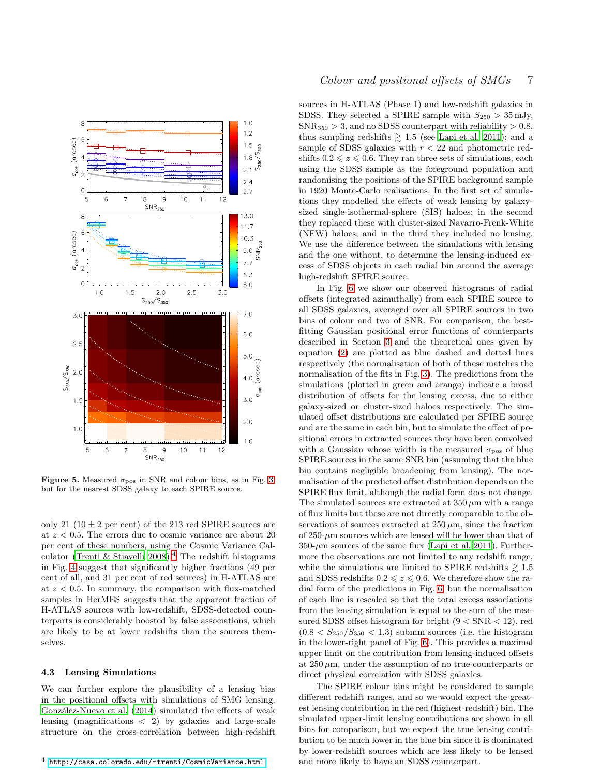![](_page_6_Figure_0.jpeg)

<span id="page-6-0"></span>Figure 5. Measured  $\sigma_{\text{pos}}$  in SNR and colour bins, as in Fig. [3,](#page-3-1) but for the nearest SDSS galaxy to each SPIRE source.

only 21  $(10 \pm 2$  per cent) of the 213 red SPIRE sources are at  $z < 0.5$ . The errors due to cosmic variance are about 20 per cent of these numbers, using the Cosmic Variance Cal-culator [\(Trenti & Stiavelli 2008](#page-9-26)).<sup>[4](#page-6-1)</sup> The redshift histograms in Fig. [4](#page-5-0) suggest that significantly higher fractions (49 per cent of all, and 31 per cent of red sources) in H-ATLAS are at  $z < 0.5$ . In summary, the comparison with flux-matched samples in HerMES suggests that the apparent fraction of H-ATLAS sources with low-redshift, SDSS-detected counterparts is considerably boosted by false associations, which are likely to be at lower redshifts than the sources themselves.

### 4.3 Lensing Simulations

<span id="page-6-1"></span>We can further explore the plausibility of a lensing bias in the positional offsets with simulations of SMG lensing. González-Nuevo et al. (2014) simulated the effects of weak lensing (magnifications < 2) by galaxies and large-scale structure on the cross-correlation between high-redshift

# Colour and positional offsets of SMGs 7

sources in H-ATLAS (Phase 1) and low-redshift galaxies in SDSS. They selected a SPIRE sample with  $S_{250} > 35$  mJy,  $SNR_{350} > 3$ , and no SDSS counterpart with reliability  $> 0.8$ , thus sampling redshifts  $\geq 1.5$  (see [Lapi et al. 2011](#page-9-21)); and a sample of SDSS galaxies with  $r < 22$  and photometric redshifts  $0.2 \leq z \leq 0.6$ . They ran three sets of simulations, each using the SDSS sample as the foreground population and randomising the positions of the SPIRE background sample in 1920 Monte-Carlo realisations. In the first set of simulations they modelled the effects of weak lensing by galaxysized single-isothermal-sphere (SIS) haloes; in the second they replaced these with cluster-sized Navarro-Frenk-White (NFW) haloes; and in the third they included no lensing. We use the difference between the simulations with lensing and the one without, to determine the lensing-induced excess of SDSS objects in each radial bin around the average high-redshift SPIRE source.

In Fig. [6](#page-8-31) we show our observed histograms of radial offsets (integrated azimuthally) from each SPIRE source to all SDSS galaxies, averaged over all SPIRE sources in two bins of colour and two of SNR. For comparison, the bestfitting Gaussian positional error functions of counterparts described in Section [3](#page-2-0) and the theoretical ones given by equation [\(2\)](#page-1-3) are plotted as blue dashed and dotted lines respectively (the normalisation of both of these matches the normalisation of the fits in Fig. [3\)](#page-3-1). The predictions from the simulations (plotted in green and orange) indicate a broad distribution of offsets for the lensing excess, due to either galaxy-sized or cluster-sized haloes respectively. The simulated offset distributions are calculated per SPIRE source and are the same in each bin, but to simulate the effect of positional errors in extracted sources they have been convolved with a Gaussian whose width is the measured  $\sigma_{\text{pos}}$  of blue SPIRE sources in the same SNR bin (assuming that the blue bin contains negligible broadening from lensing). The normalisation of the predicted offset distribution depends on the SPIRE flux limit, although the radial form does not change. The simulated sources are extracted at  $350 \,\mu m$  with a range of flux limits but these are not directly comparable to the observations of sources extracted at  $250 \,\mu$ m, since the fraction of  $250-\mu m$  sources which are lensed will be lower than that of  $350-\mu m$  sources of the same flux [\(Lapi et al. 2011\)](#page-9-21). Furthermore the observations are not limited to any redshift range, while the simulations are limited to SPIRE redshifts  $\geq 1.5$ and SDSS redshifts  $0.2 \le z \le 0.6$ . We therefore show the radial form of the predictions in Fig. [6,](#page-8-31) but the normalisation of each line is rescaled so that the total excess associations from the lensing simulation is equal to the sum of the measured SDSS offset histogram for bright  $(9 < SNR < 12)$ , red  $(0.8 < S_{250}/S_{350} < 1.3)$  submm sources (i.e. the histogram in the lower-right panel of Fig. [6\)](#page-8-31). This provides a maximal upper limit on the contribution from lensing-induced offsets at  $250 \mu m$ , under the assumption of no true counterparts or direct physical correlation with SDSS galaxies.

The SPIRE colour bins might be considered to sample different redshift ranges, and so we would expect the greatest lensing contribution in the red (highest-redshift) bin. The simulated upper-limit lensing contributions are shown in all bins for comparison, but we expect the true lensing contribution to be much lower in the blue bin since it is dominated by lower-redshift sources which are less likely to be lensed and more likely to have an SDSS counterpart.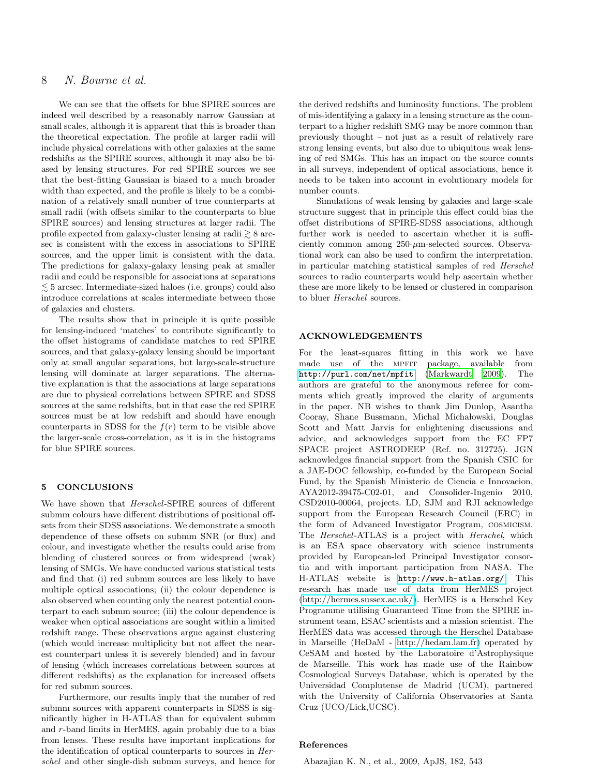# 8 N. Bourne et al.

We can see that the offsets for blue SPIRE sources are indeed well described by a reasonably narrow Gaussian at small scales, although it is apparent that this is broader than the theoretical expectation. The profile at larger radii will include physical correlations with other galaxies at the same redshifts as the SPIRE sources, although it may also be biased by lensing structures. For red SPIRE sources we see that the best-fitting Gaussian is biased to a much broader width than expected, and the profile is likely to be a combination of a relatively small number of true counterparts at small radii (with offsets similar to the counterparts to blue SPIRE sources) and lensing structures at larger radii. The profile expected from galaxy-cluster lensing at radii  $\geq 8$  arcsec is consistent with the excess in associations to SPIRE sources, and the upper limit is consistent with the data. The predictions for galaxy-galaxy lensing peak at smaller radii and could be responsible for associations at separations  $\leq$  5 arcsec. Intermediate-sized haloes (i.e. groups) could also introduce correlations at scales intermediate between those of galaxies and clusters.

The results show that in principle it is quite possible for lensing-induced 'matches' to contribute significantly to the offset histograms of candidate matches to red SPIRE sources, and that galaxy-galaxy lensing should be important only at small angular separations, but large-scale-structure lensing will dominate at larger separations. The alternative explanation is that the associations at large separations are due to physical correlations between SPIRE and SDSS sources at the same redshifts, but in that case the red SPIRE sources must be at low redshift and should have enough counterparts in SDSS for the  $f(r)$  term to be visible above the larger-scale cross-correlation, as it is in the histograms for blue SPIRE sources.

#### 5 CONCLUSIONS

We have shown that Herschel-SPIRE sources of different submm colours have different distributions of positional offsets from their SDSS associations. We demonstrate a smooth dependence of these offsets on submm SNR (or flux) and colour, and investigate whether the results could arise from blending of clustered sources or from widespread (weak) lensing of SMGs. We have conducted various statistical tests and find that (i) red submm sources are less likely to have multiple optical associations; (ii) the colour dependence is also observed when counting only the nearest potential counterpart to each submm source; (iii) the colour dependence is weaker when optical associations are sought within a limited redshift range. These observations argue against clustering (which would increase multiplicity but not affect the nearest counterpart unless it is severely blended) and in favour of lensing (which increases correlations between sources at different redshifts) as the explanation for increased offsets for red submm sources.

Furthermore, our results imply that the number of red submm sources with apparent counterparts in SDSS is significantly higher in H-ATLAS than for equivalent submm and r-band limits in HerMES, again probably due to a bias from lenses. These results have important implications for the identification of optical counterparts to sources in Herschel and other single-dish submm surveys, and hence for

the derived redshifts and luminosity functions. The problem of mis-identifying a galaxy in a lensing structure as the counterpart to a higher redshift SMG may be more common than previously thought – not just as a result of relatively rare strong lensing events, but also due to ubiquitous weak lensing of red SMGs. This has an impact on the source counts in all surveys, independent of optical associations, hence it needs to be taken into account in evolutionary models for number counts.

Simulations of weak lensing by galaxies and large-scale structure suggest that in principle this effect could bias the offset distributions of SPIRE-SDSS associations, although further work is needed to ascertain whether it is sufficiently common among  $250-\mu$ m-selected sources. Observational work can also be used to confirm the interpretation, in particular matching statistical samples of red Herschel sources to radio counterparts would help ascertain whether these are more likely to be lensed or clustered in comparison to bluer Herschel sources.

#### ACKNOWLEDGEMENTS

For the least-squares fitting in this work we have made use of the MPFIT package, available from <http://purl.com/net/mpfit> [\(Markwardt 2009](#page-9-16)). The authors are grateful to the anonymous referee for comments which greatly improved the clarity of arguments in the paper. NB wishes to thank Jim Dunlop, Asantha Cooray, Shane Bussmann, Michal Michałowski, Douglas Scott and Matt Jarvis for enlightening discussions and advice, and acknowledges support from the EC FP7 SPACE project ASTRODEEP (Ref. no. 312725). JGN acknowledges financial support from the Spanish CSIC for a JAE-DOC fellowship, co-funded by the European Social Fund, by the Spanish Ministerio de Ciencia e Innovacion, AYA2012-39475-C02-01, and Consolider-Ingenio 2010, CSD2010-00064, projects. LD, SJM and RJI acknowledge support from the European Research Council (ERC) in the form of Advanced Investigator Program, cosmicism. The Herschel-ATLAS is a project with Herschel, which is an ESA space observatory with science instruments provided by European-led Principal Investigator consortia and with important participation from NASA. The H-ATLAS website is <http://www.h-atlas.org/>. This research has made use of data from HerMES project [\(http://hermes.sussex.ac.uk/\)](http://hermes.sussex.ac.uk/). HerMES is a Herschel Key Programme utilising Guaranteed Time from the SPIRE instrument team, ESAC scientists and a mission scientist. The HerMES data was accessed through the Herschel Database in Marseille (HeDaM - [http://hedam.lam.fr\)](http://hedam.lam.fr) operated by CeSAM and hosted by the Laboratoire d'Astrophysique de Marseille. This work has made use of the Rainbow Cosmological Surveys Database, which is operated by the Universidad Complutense de Madrid (UCM), partnered with the University of California Observatories at Santa Cruz (UCO/Lick,UCSC).

## References

<span id="page-7-0"></span>Abazajian K. N., et al., 2009, ApJS, 182, 543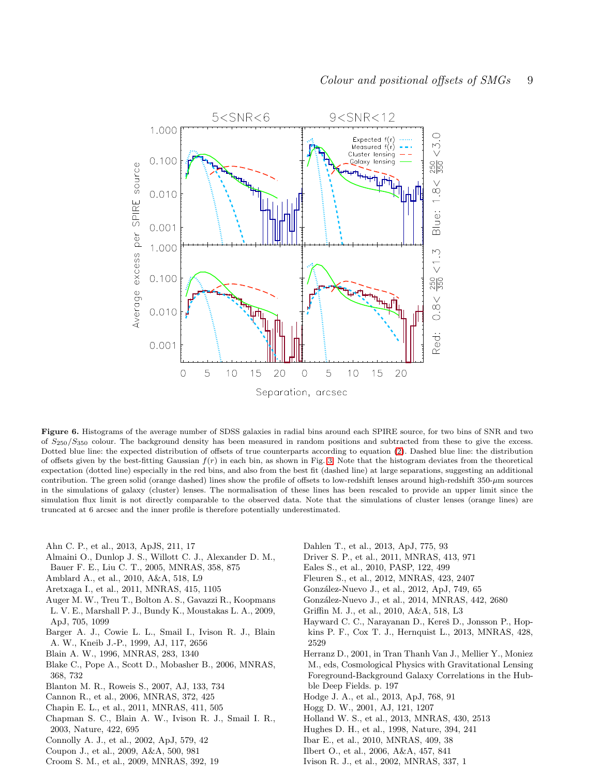![](_page_8_Figure_0.jpeg)

<span id="page-8-31"></span>Figure 6. Histograms of the average number of SDSS galaxies in radial bins around each SPIRE source, for two bins of SNR and two of  $S_{250}/S_{350}$  colour. The background density has been measured in random positions and subtracted from these to give the excess. Dotted blue line: the expected distribution of offsets of true counterparts according to equation [\(2\)](#page-1-3). Dashed blue line: the distribution of offsets given by the best-fitting Gaussian  $f(r)$  in each bin, as shown in Fig. [3.](#page-3-1) Note that the histogram deviates from the theoretical expectation (dotted line) especially in the red bins, and also from the best fit (dashed line) at large separations, suggesting an additional contribution. The green solid (orange dashed) lines show the profile of offsets to low-redshift lenses around high-redshift  $350-\mu m$  sources in the simulations of galaxy (cluster) lenses. The normalisation of these lines has been rescaled to provide an upper limit since the simulation flux limit is not directly comparable to the observed data. Note that the simulations of cluster lenses (orange lines) are truncated at 6 arcsec and the inner profile is therefore potentially underestimated.

<span id="page-8-16"></span>Ahn C. P., et al., 2013, ApJS, 211, 17

- <span id="page-8-22"></span>Almaini O., Dunlop J. S., Willott C. J., Alexander D. M.,
- Bauer F. E., Liu C. T., 2005, MNRAS, 358, 875
- <span id="page-8-21"></span>Amblard A., et al., 2010, A&A, 518, L9
- <span id="page-8-7"></span>Aretxaga I., et al., 2011, MNRAS, 415, 1105
- <span id="page-8-26"></span>Auger M. W., Treu T., Bolton A. S., Gavazzi R., Koopmans L. V. E., Marshall P. J., Bundy K., Moustakas L. A., 2009,
- ApJ, 705, 1099
- <span id="page-8-3"></span>Barger A. J., Cowie L. L., Smail I., Ivison R. J., Blain A. W., Kneib J.-P., 1999, AJ, 117, 2656
- <span id="page-8-6"></span>Blain A. W., 1996, MNRAS, 283, 1340
- <span id="page-8-24"></span>Blake C., Pope A., Scott D., Mobasher B., 2006, MNRAS, 368, 732
- <span id="page-8-25"></span>Blanton M. R., Roweis S., 2007, AJ, 133, 734
- <span id="page-8-14"></span>Cannon R., et al., 2006, MNRAS, 372, 425
- <span id="page-8-9"></span>Chapin E. L., et al., 2011, MNRAS, 411, 505
- <span id="page-8-5"></span>Chapman S. C., Blain A. W., Ivison R. J., Smail I. R., 2003, Nature, 422, 695
- <span id="page-8-18"></span>Connolly A. J., et al., 2002, ApJ, 579, 42
- <span id="page-8-29"></span>Coupon J., et al., 2009, A&A, 500, 981
- <span id="page-8-15"></span>Croom S. M., et al., 2009, MNRAS, 392, 19
- <span id="page-8-30"></span>Dahlen T., et al., 2013, ApJ, 775, 93
- <span id="page-8-13"></span>Driver S. P., et al., 2011, MNRAS, 413, 971
- <span id="page-8-11"></span>Eales S., et al., 2010, PASP, 122, 499
- <span id="page-8-27"></span>Fleuren S., et al., 2012, MNRAS, 423, 2407
- <span id="page-8-8"></span>González-Nuevo J., et al., 2012, ApJ, 749, 65
- <span id="page-8-23"></span>Gonz´alez-Nuevo J., et al., 2014, MNRAS, 442, 2680
- <span id="page-8-1"></span>Griffin M. J., et al., 2010, A&A, 518, L3
- <span id="page-8-19"></span>Hayward C. C., Narayanan D., Kereš D., Jonsson P., Hopkins P. F., Cox T. J., Hernquist L., 2013, MNRAS, 428, 2529
- <span id="page-8-17"></span>Herranz D., 2001, in Tran Thanh Van J., Mellier Y., Moniez M., eds, Cosmological Physics with Gravitational Lensing Foreground-Background Galaxy Correlations in the Hubble Deep Fields. p. 197
- <span id="page-8-20"></span>Hodge J. A., et al., 2013, ApJ, 768, 91
- <span id="page-8-10"></span>Hogg D. W., 2001, AJ, 121, 1207
- <span id="page-8-0"></span>Holland W. S., et al., 2013, MNRAS, 430, 2513
- <span id="page-8-2"></span>Hughes D. H., et al., 1998, Nature, 394, 241
- <span id="page-8-12"></span>Ibar E., et al., 2010, MNRAS, 409, 38
- <span id="page-8-28"></span>Ilbert O., et al., 2006, A&A, 457, 841
- <span id="page-8-4"></span>Ivison R. J., et al., 2002, MNRAS, 337, 1